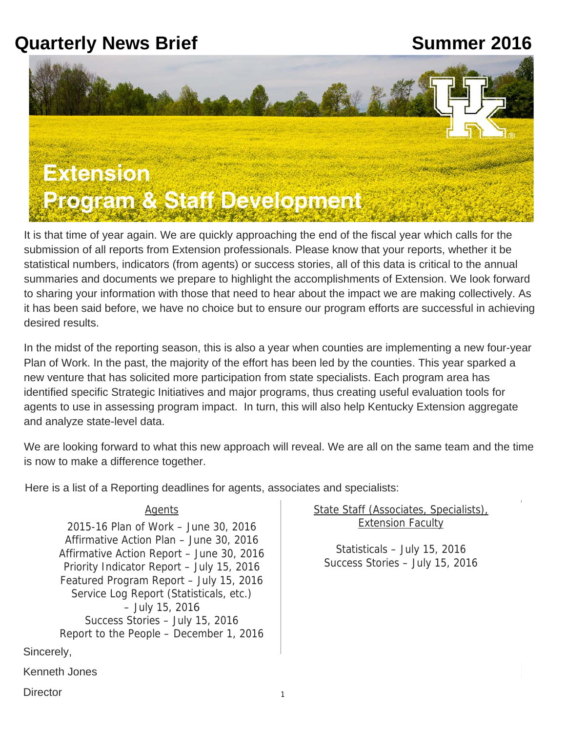# **Quarterly News Brief**  The Community Mean Summer 2016



It is that time of year again. We are quickly approaching the end of the fiscal year which calls for the submission of all reports from Extension professionals. Please know that your reports, whether it be statistical numbers, indicators (from agents) or success stories, all of this data is critical to the annual summaries and documents we prepare to highlight the accomplishments of Extension. We look forward to sharing your information with those that need to hear about the impact we are making collectively. As it has been said before, we have no choice but to ensure our program efforts are successful in achieving desired results.

In the midst of the reporting season, this is also a year when counties are implementing a new four-year Plan of Work. In the past, the majority of the effort has been led by the counties. This year sparked a new venture that has solicited more participation from state specialists. Each program area has identified specific Strategic Initiatives and major programs, thus creating useful evaluation tools for agents to use in assessing program impact. In turn, this will also help Kentucky Extension aggregate and analyze state-level data.

We are looking forward to what this new approach will reveal. We are all on the same team and the time is now to make a difference together.

Here is a list of a Reporting deadlines for agents, associates and specialists:

### Agents

2015-16 Plan of Work – June 30, 2016 Affirmative Action Plan – June 30, 2016 Affirmative Action Report – June 30, 2016 Priority Indicator Report – July 15, 2016 Featured Program Report – July 15, 2016 Service Log Report (Statisticals, etc.) – July 15, 2016 Success Stories – July 15, 2016 Report to the People – December 1, 2016 State Staff (Associates, Specialists), **Extension Faculty** 

Statisticals – July 15, 2016 Success Stories – July 15, 2016

Sincerely,

Kenneth Jones

**Director**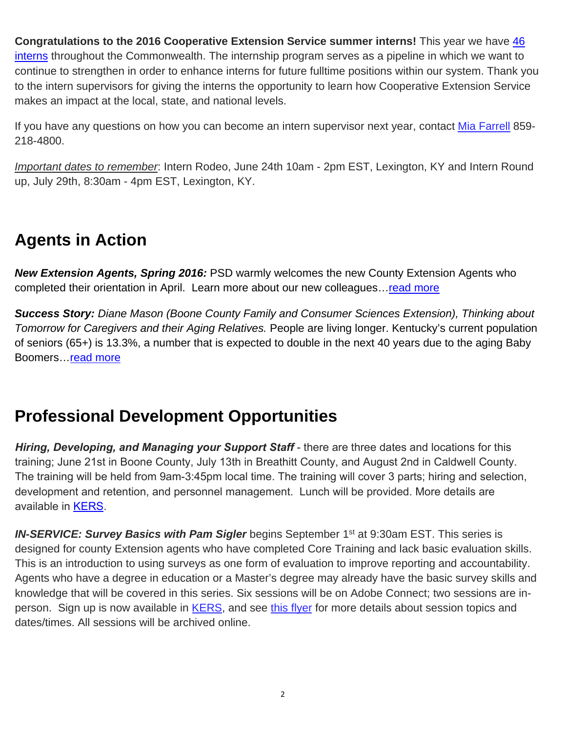to the intern supervisors for giving the interns the opportunity to learn how Cooperative Extension Service makes an impact at the local, state, and national levels. **Congratulations to the 2016 Cooperative Extension Service summer interns!** This year we have [46](https://ces-personnel.ca.uky.edu/2016_interns)  [interns](https://ces-personnel.ca.uky.edu/2016_interns) throughout the Commonwealth. The internship program serves as a pipeline in which we want to continue to strengthen in order to enhance interns for future fulltime positions within our system. Thank you

If you have any questions on how you can become an intern supervisor next year, contact [Mia Farrell](mailto:antomia.farrell@uky.edu?subject=Intern%20Supervisor%20request) 859- 218-4800.

*Important dates to remember*: Intern Rodeo, June 24th 10am - 2pm EST, Lexington, KY and Intern Round up, July 29th, 8:30am - 4pm EST, Lexington, KY.

## **Agents in Action**

*New Extension Agents, Spring 2016:* PSD warmly welcomes the new County Extension Agents who completed their orientation in April. Learn more about our new colleagues... read more

*Success Story: Diane Mason (Boone County Family and Consumer Sciences Extension), Thinking about Tomorrow for Caregivers and their Aging Relatives.* People are living longer. Kentucky's current population of seniors (65+) is 13.3%, a number that is expected to double in the next 40 years due to the aging Baby Boomers[…read more](https://psd.ca.uky.edu/sites/psd.ca.uky.edu/files/summer_2016_success_story.pdf)

### **Professional Development Opportunities**

*Hiring, Developing, and Managing your Support Staff* - there are three dates and locations for this training; June 21st in Boone County, July 13th in Breathitt County, and August 2nd in Caldwell County. The training will be held from 9am-3:45pm local time. The training will cover 3 parts; hiring and selection, development and retention, and personnel management. Lunch will be provided. More details are available in [KERS.](https://warehouse.ca.uky.edu/kers/login.aspx)

**IN-SERVICE: Survey Basics with Pam Sigler** begins September 1<sup>st</sup> at 9:30am EST. This series is designed for county Extension agents who have completed Core Training and lack basic evaluation skills. This is an introduction to using surveys as one form of evaluation to improve reporting and accountability. Agents who have a degree in education or a Master's degree may already have the basic survey skills and knowledge that will be covered in this series. Six sessions will be on Adobe Connect; two sessions are in-person. Sign up is now available in [KERS,](https://warehouse.ca.uky.edu/kers/login.aspx) and see [this flyer](https://psd.ca.uky.edu/sites/psd.ca.uky.edu/files/survey_basics_flyer_6-13-16.pdf) for more details about session topics and dates/times. All sessions will be archived online.